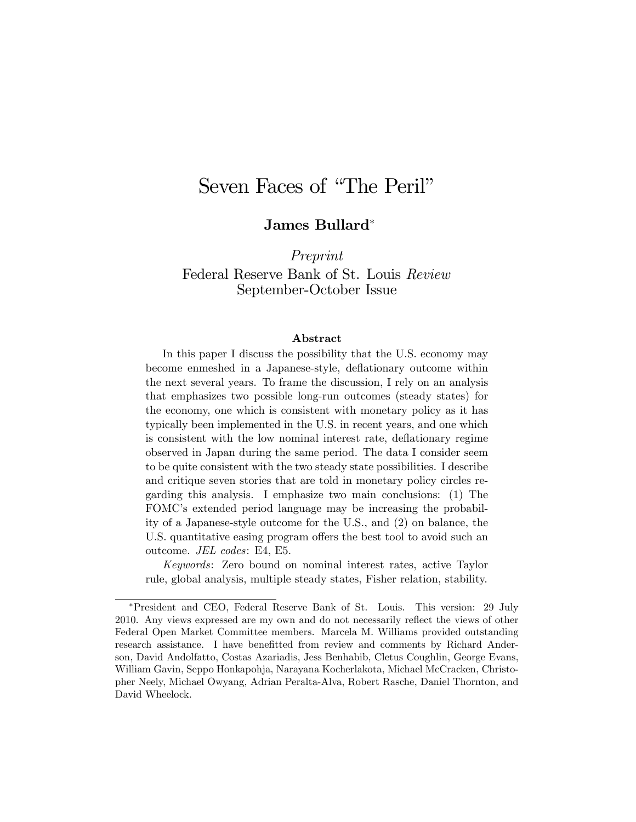# Seven Faces of "The Peril"

### James Bullard

Preprint Federal Reserve Bank of St. Louis Review September-October Issue

#### Abstract

In this paper I discuss the possibility that the U.S. economy may become enmeshed in a Japanese-style, deflationary outcome within the next several years. To frame the discussion, I rely on an analysis that emphasizes two possible long-run outcomes (steady states) for the economy, one which is consistent with monetary policy as it has typically been implemented in the U.S. in recent years, and one which is consistent with the low nominal interest rate, deflationary regime observed in Japan during the same period. The data I consider seem to be quite consistent with the two steady state possibilities. I describe and critique seven stories that are told in monetary policy circles regarding this analysis. I emphasize two main conclusions: (1) The FOMC's extended period language may be increasing the probability of a Japanese-style outcome for the U.S., and (2) on balance, the U.S. quantitative easing program offers the best tool to avoid such an outcome. JEL codes: E4, E5.

Keywords: Zero bound on nominal interest rates, active Taylor rule, global analysis, multiple steady states, Fisher relation, stability.

President and CEO, Federal Reserve Bank of St. Louis. This version: 29 July 2010. Any views expressed are my own and do not necessarily reflect the views of other Federal Open Market Committee members. Marcela M. Williams provided outstanding research assistance. I have benefitted from review and comments by Richard Anderson, David Andolfatto, Costas Azariadis, Jess Benhabib, Cletus Coughlin, George Evans, William Gavin, Seppo Honkapohja, Narayana Kocherlakota, Michael McCracken, Christopher Neely, Michael Owyang, Adrian Peralta-Alva, Robert Rasche, Daniel Thornton, and David Wheelock.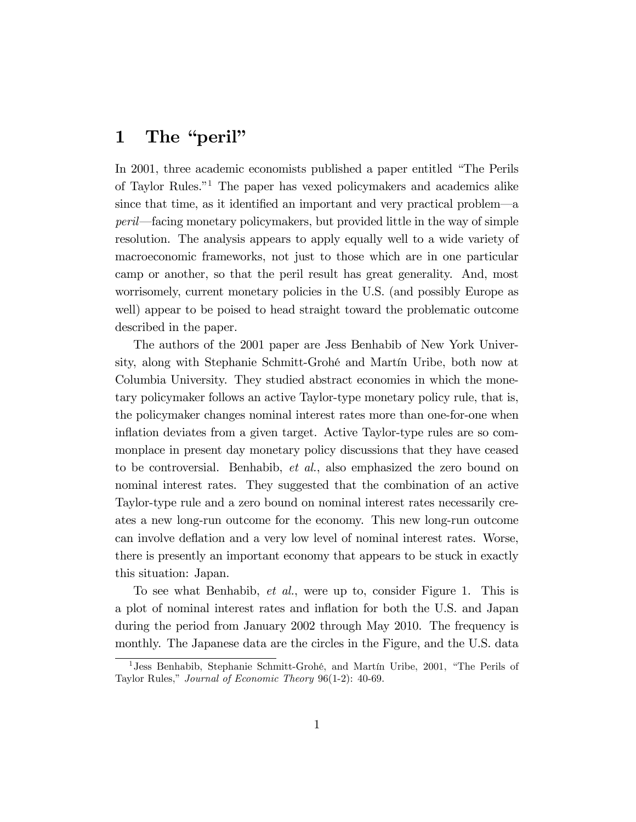### 1 The "peril"

In 2001, three academic economists published a paper entitled "The Perils" of Taylor Rules.<sup>"1</sup> The paper has vexed policymakers and academics alike since that time, as it identified an important and very practical problem—a peril—facing monetary policymakers, but provided little in the way of simple resolution. The analysis appears to apply equally well to a wide variety of macroeconomic frameworks, not just to those which are in one particular camp or another, so that the peril result has great generality. And, most worrisomely, current monetary policies in the U.S. (and possibly Europe as well) appear to be poised to head straight toward the problematic outcome described in the paper.

The authors of the 2001 paper are Jess Benhabib of New York University, along with Stephanie Schmitt-Grohé and Martín Uribe, both now at Columbia University. They studied abstract economies in which the monetary policymaker follows an active Taylor-type monetary policy rule, that is, the policymaker changes nominal interest rates more than one-for-one when inflation deviates from a given target. Active Taylor-type rules are so commonplace in present day monetary policy discussions that they have ceased to be controversial. Benhabib, et al., also emphasized the zero bound on nominal interest rates. They suggested that the combination of an active Taylor-type rule and a zero bound on nominal interest rates necessarily creates a new long-run outcome for the economy. This new long-run outcome can involve deflation and a very low level of nominal interest rates. Worse, there is presently an important economy that appears to be stuck in exactly this situation: Japan.

To see what Benhabib, et al., were up to, consider Figure 1. This is a plot of nominal interest rates and ináation for both the U.S. and Japan during the period from January 2002 through May 2010. The frequency is monthly. The Japanese data are the circles in the Figure, and the U.S. data

<sup>&</sup>lt;sup>1</sup> Jess Benhabib, Stephanie Schmitt-Grohé, and Martín Uribe, 2001, "The Perils of Taylor Rules," Journal of Economic Theory 96(1-2): 40-69.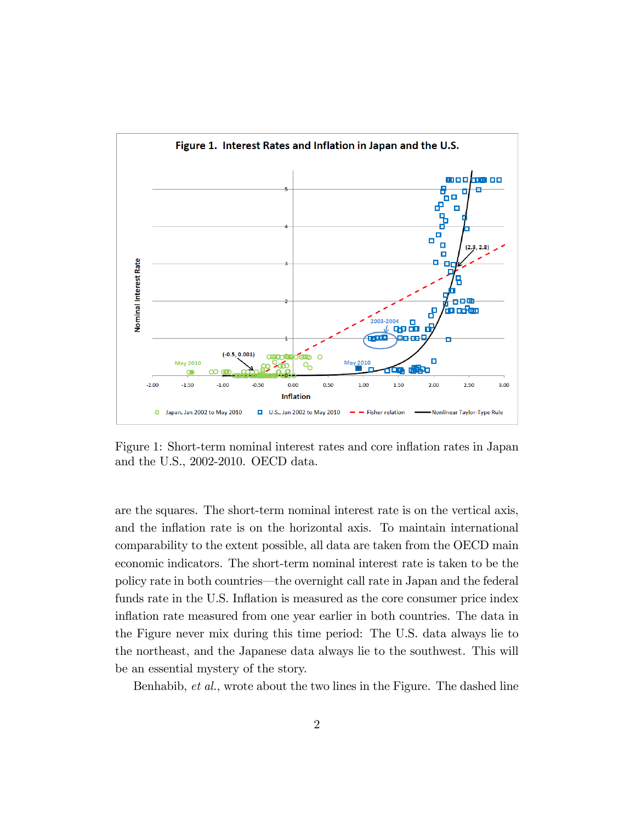

Figure 1: Short-term nominal interest rates and core inflation rates in Japan and the U.S., 2002-2010. OECD data.

are the squares. The short-term nominal interest rate is on the vertical axis, and the inflation rate is on the horizontal axis. To maintain international comparability to the extent possible, all data are taken from the OECD main economic indicators. The short-term nominal interest rate is taken to be the policy rate in both countries—the overnight call rate in Japan and the federal funds rate in the U.S. Inflation is measured as the core consumer price index inflation rate measured from one year earlier in both countries. The data in the Figure never mix during this time period: The U.S. data always lie to the northeast, and the Japanese data always lie to the southwest. This will be an essential mystery of the story.

Benhabib, et al., wrote about the two lines in the Figure. The dashed line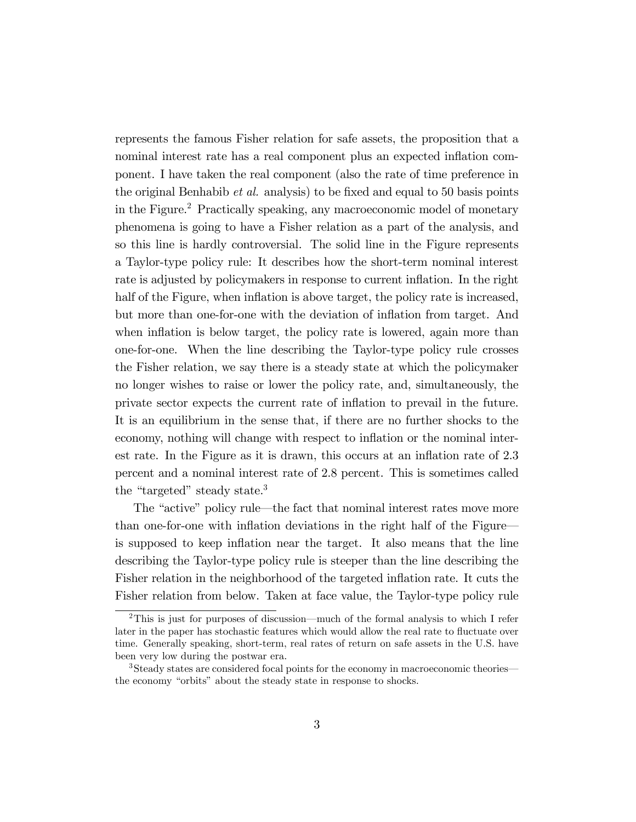represents the famous Fisher relation for safe assets, the proposition that a nominal interest rate has a real component plus an expected inflation component. I have taken the real component (also the rate of time preference in the original Benhabib  $et \, al.$  analysis) to be fixed and equal to 50 basis points in the Figure.<sup>2</sup> Practically speaking, any macroeconomic model of monetary phenomena is going to have a Fisher relation as a part of the analysis, and so this line is hardly controversial. The solid line in the Figure represents a Taylor-type policy rule: It describes how the short-term nominal interest rate is adjusted by policymakers in response to current inflation. In the right half of the Figure, when inflation is above target, the policy rate is increased, but more than one-for-one with the deviation of ináation from target. And when inflation is below target, the policy rate is lowered, again more than one-for-one. When the line describing the Taylor-type policy rule crosses the Fisher relation, we say there is a steady state at which the policymaker no longer wishes to raise or lower the policy rate, and, simultaneously, the private sector expects the current rate of ináation to prevail in the future. It is an equilibrium in the sense that, if there are no further shocks to the economy, nothing will change with respect to inflation or the nominal interest rate. In the Figure as it is drawn, this occurs at an inflation rate of 2.3 percent and a nominal interest rate of 2.8 percent. This is sometimes called the "targeted" steady state.<sup>3</sup>

The "active" policy rule—the fact that nominal interest rates move more than one-for-one with inflation deviations in the right half of the Figure is supposed to keep inflation near the target. It also means that the line describing the Taylor-type policy rule is steeper than the line describing the Fisher relation in the neighborhood of the targeted inflation rate. It cuts the Fisher relation from below. Taken at face value, the Taylor-type policy rule

<sup>&</sup>lt;sup>2</sup>This is just for purposes of discussion—much of the formal analysis to which I refer later in the paper has stochastic features which would allow the real rate to fluctuate over time. Generally speaking, short-term, real rates of return on safe assets in the U.S. have been very low during the postwar era.

<sup>&</sup>lt;sup>3</sup>Steady states are considered focal points for the economy in macroeconomic theories the economy "orbits" about the steady state in response to shocks.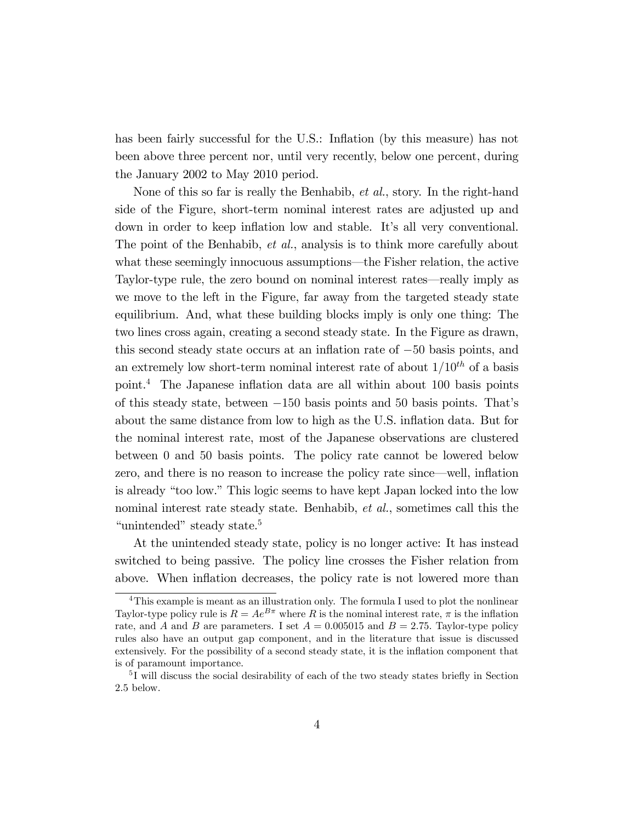has been fairly successful for the U.S.: Inflation (by this measure) has not been above three percent nor, until very recently, below one percent, during the January 2002 to May 2010 period.

None of this so far is really the Benhabib, *et al.*, story. In the right-hand side of the Figure, short-term nominal interest rates are adjusted up and down in order to keep inflation low and stable. It's all very conventional. The point of the Benhabib, *et al.*, analysis is to think more carefully about what these seemingly innocuous assumptions—the Fisher relation, the active Taylor-type rule, the zero bound on nominal interest rates—really imply as we move to the left in the Figure, far away from the targeted steady state equilibrium. And, what these building blocks imply is only one thing: The two lines cross again, creating a second steady state. In the Figure as drawn, this second steady state occurs at an inflation rate of  $-50$  basis points, and an extremely low short-term nominal interest rate of about  $1/10^{th}$  of a basis point.<sup>4</sup> The Japanese inflation data are all within about 100 basis points of this steady state, between  $-150$  basis points and 50 basis points. That's about the same distance from low to high as the U.S. ináation data. But for the nominal interest rate, most of the Japanese observations are clustered between 0 and 50 basis points. The policy rate cannot be lowered below zero, and there is no reason to increase the policy rate since—well, inflation is already "too low." This logic seems to have kept Japan locked into the low nominal interest rate steady state. Benhabib, *et al.*, sometimes call this the "unintended" steady state.<sup>5</sup>

At the unintended steady state, policy is no longer active: It has instead switched to being passive. The policy line crosses the Fisher relation from above. When inflation decreases, the policy rate is not lowered more than

<sup>&</sup>lt;sup>4</sup>This example is meant as an illustration only. The formula I used to plot the nonlinear Taylor-type policy rule is  $R = Ae^{B\pi}$  where R is the nominal interest rate,  $\pi$  is the inflation rate, and A and B are parameters. I set  $A = 0.005015$  and  $B = 2.75$ . Taylor-type policy rules also have an output gap component, and in the literature that issue is discussed extensively. For the possibility of a second steady state, it is the ináation component that is of paramount importance.

<sup>&</sup>lt;sup>5</sup>I will discuss the social desirability of each of the two steady states briefly in Section 2.5 below.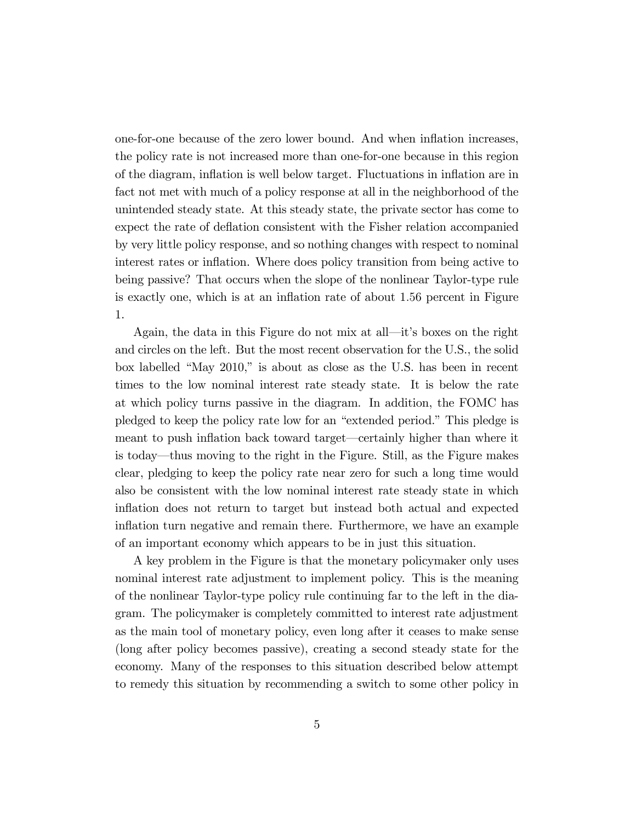one-for-one because of the zero lower bound. And when inflation increases, the policy rate is not increased more than one-for-one because in this region of the diagram, ináation is well below target. Fluctuations in ináation are in fact not met with much of a policy response at all in the neighborhood of the unintended steady state. At this steady state, the private sector has come to expect the rate of deflation consistent with the Fisher relation accompanied by very little policy response, and so nothing changes with respect to nominal interest rates or inflation. Where does policy transition from being active to being passive? That occurs when the slope of the nonlinear Taylor-type rule is exactly one, which is at an inflation rate of about  $1.56$  percent in Figure 1.

Again, the data in this Figure do not mix at all—it's boxes on the right and circles on the left. But the most recent observation for the U.S., the solid box labelled "May  $2010$ ," is about as close as the U.S. has been in recent times to the low nominal interest rate steady state. It is below the rate at which policy turns passive in the diagram. In addition, the FOMC has pledged to keep the policy rate low for an "extended period." This pledge is meant to push inflation back toward target—certainly higher than where it is today—thus moving to the right in the Figure. Still, as the Figure makes clear, pledging to keep the policy rate near zero for such a long time would also be consistent with the low nominal interest rate steady state in which inflation does not return to target but instead both actual and expected inflation turn negative and remain there. Furthermore, we have an example of an important economy which appears to be in just this situation.

A key problem in the Figure is that the monetary policymaker only uses nominal interest rate adjustment to implement policy. This is the meaning of the nonlinear Taylor-type policy rule continuing far to the left in the diagram. The policymaker is completely committed to interest rate adjustment as the main tool of monetary policy, even long after it ceases to make sense (long after policy becomes passive), creating a second steady state for the economy. Many of the responses to this situation described below attempt to remedy this situation by recommending a switch to some other policy in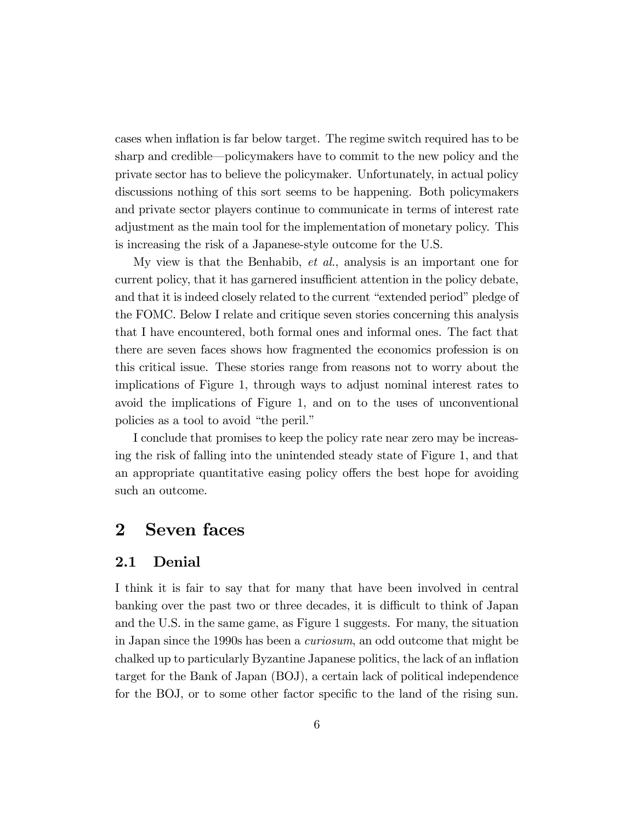cases when ináation is far below target. The regime switch required has to be sharp and credible—policymakers have to commit to the new policy and the private sector has to believe the policymaker. Unfortunately, in actual policy discussions nothing of this sort seems to be happening. Both policymakers and private sector players continue to communicate in terms of interest rate adjustment as the main tool for the implementation of monetary policy. This is increasing the risk of a Japanese-style outcome for the U.S.

My view is that the Benhabib, et al., analysis is an important one for current policy, that it has garnered insufficient attention in the policy debate, and that it is indeed closely related to the current "extended period" pledge of the FOMC. Below I relate and critique seven stories concerning this analysis that I have encountered, both formal ones and informal ones. The fact that there are seven faces shows how fragmented the economics profession is on this critical issue. These stories range from reasons not to worry about the implications of Figure 1, through ways to adjust nominal interest rates to avoid the implications of Figure 1, and on to the uses of unconventional policies as a tool to avoid "the peril."

I conclude that promises to keep the policy rate near zero may be increasing the risk of falling into the unintended steady state of Figure 1, and that an appropriate quantitative easing policy offers the best hope for avoiding such an outcome.

### 2 Seven faces

#### 2.1 Denial

I think it is fair to say that for many that have been involved in central banking over the past two or three decades, it is difficult to think of Japan and the U.S. in the same game, as Figure 1 suggests. For many, the situation in Japan since the 1990s has been a curiosum, an odd outcome that might be chalked up to particularly Byzantine Japanese politics, the lack of an ináation target for the Bank of Japan (BOJ), a certain lack of political independence for the BOJ, or to some other factor specific to the land of the rising sun.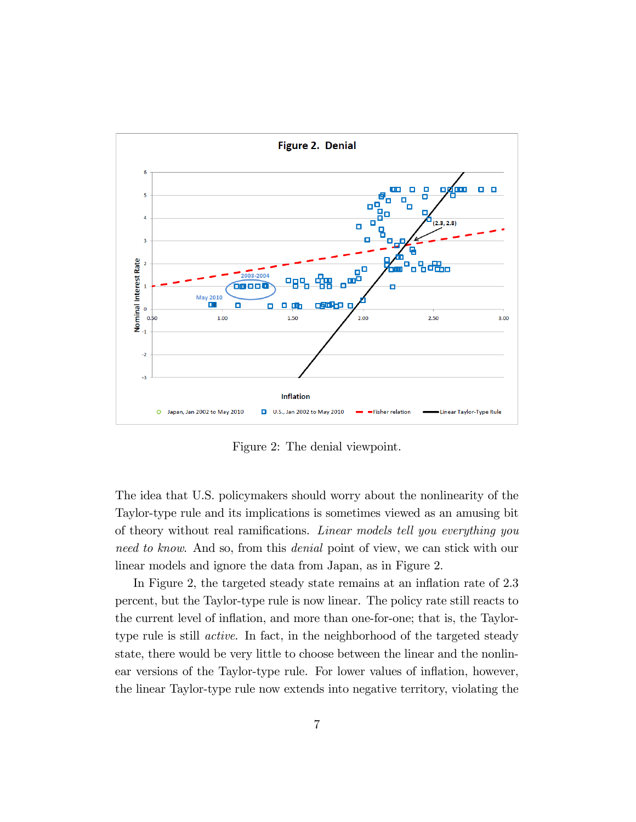

Figure 2: The denial viewpoint.

The idea that U.S. policymakers should worry about the nonlinearity of the Taylor-type rule and its implications is sometimes viewed as an amusing bit of theory without real ramifications. Linear models tell you everything you need to know. And so, from this denial point of view, we can stick with our linear models and ignore the data from Japan, as in Figure 2.

In Figure 2, the targeted steady state remains at an inflation rate of 2.3 percent, but the Taylor-type rule is now linear. The policy rate still reacts to the current level of ináation, and more than one-for-one; that is, the Taylortype rule is still active. In fact, in the neighborhood of the targeted steady state, there would be very little to choose between the linear and the nonlinear versions of the Taylor-type rule. For lower values of ináation, however, the linear Taylor-type rule now extends into negative territory, violating the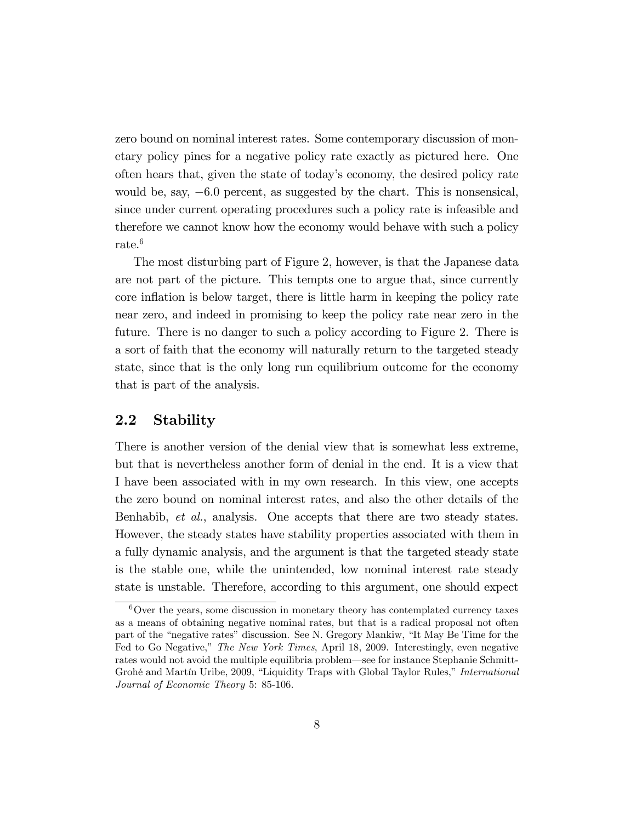zero bound on nominal interest rates. Some contemporary discussion of monetary policy pines for a negative policy rate exactly as pictured here. One often hears that, given the state of todayís economy, the desired policy rate would be, say,  $-6.0$  percent, as suggested by the chart. This is nonsensical, since under current operating procedures such a policy rate is infeasible and therefore we cannot know how the economy would behave with such a policy rate.<sup>6</sup>

The most disturbing part of Figure 2, however, is that the Japanese data are not part of the picture. This tempts one to argue that, since currently core inflation is below target, there is little harm in keeping the policy rate near zero, and indeed in promising to keep the policy rate near zero in the future. There is no danger to such a policy according to Figure 2. There is a sort of faith that the economy will naturally return to the targeted steady state, since that is the only long run equilibrium outcome for the economy that is part of the analysis.

#### 2.2 Stability

There is another version of the denial view that is somewhat less extreme, but that is nevertheless another form of denial in the end. It is a view that I have been associated with in my own research. In this view, one accepts the zero bound on nominal interest rates, and also the other details of the Benhabib, *et al.*, analysis. One accepts that there are two steady states. However, the steady states have stability properties associated with them in a fully dynamic analysis, and the argument is that the targeted steady state is the stable one, while the unintended, low nominal interest rate steady state is unstable. Therefore, according to this argument, one should expect

 $6$ Over the years, some discussion in monetary theory has contemplated currency taxes as a means of obtaining negative nominal rates, but that is a radical proposal not often part of the "negative rates" discussion. See N. Gregory Mankiw, "It May Be Time for the Fed to Go Negative," The New York Times, April 18, 2009. Interestingly, even negative rates would not avoid the multiple equilibria problem—see for instance Stephanie Schmitt-Grohé and Martín Uribe, 2009, "Liquidity Traps with Global Taylor Rules," International Journal of Economic Theory 5: 85-106.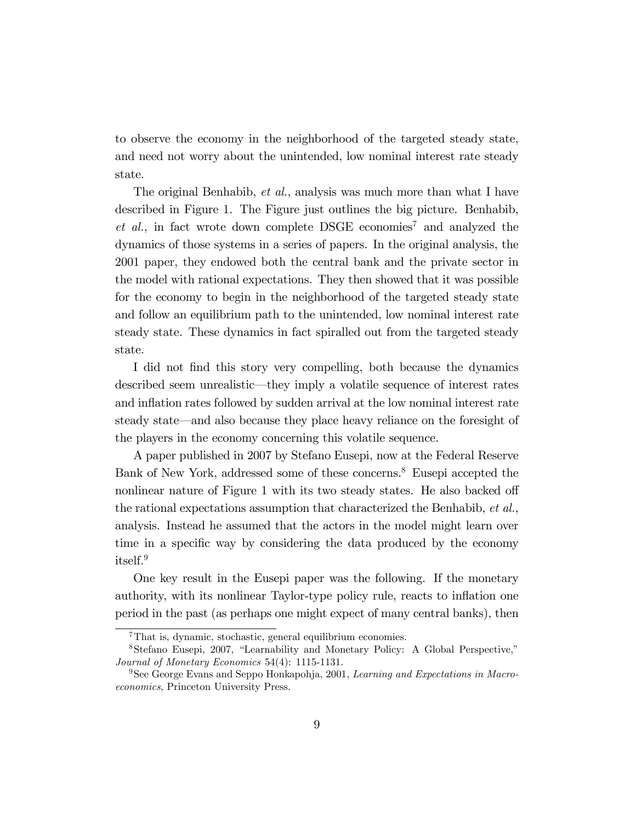to observe the economy in the neighborhood of the targeted steady state, and need not worry about the unintended, low nominal interest rate steady state.

The original Benhabib, et al., analysis was much more than what I have described in Figure 1. The Figure just outlines the big picture. Benhabib, et al., in fact wrote down complete DSGE economies<sup>7</sup> and analyzed the dynamics of those systems in a series of papers. In the original analysis, the 2001 paper, they endowed both the central bank and the private sector in the model with rational expectations. They then showed that it was possible for the economy to begin in the neighborhood of the targeted steady state and follow an equilibrium path to the unintended, low nominal interest rate steady state. These dynamics in fact spiralled out from the targeted steady state.

I did not find this story very compelling, both because the dynamics described seem unrealistic—they imply a volatile sequence of interest rates and inflation rates followed by sudden arrival at the low nominal interest rate steady state—and also because they place heavy reliance on the foresight of the players in the economy concerning this volatile sequence.

A paper published in 2007 by Stefano Eusepi, now at the Federal Reserve Bank of New York, addressed some of these concerns.<sup>8</sup> Eusepi accepted the nonlinear nature of Figure 1 with its two steady states. He also backed off the rational expectations assumption that characterized the Benhabib, et al., analysis. Instead he assumed that the actors in the model might learn over time in a specific way by considering the data produced by the economy itself.<sup>9</sup>

One key result in the Eusepi paper was the following. If the monetary authority, with its nonlinear Taylor-type policy rule, reacts to ináation one period in the past (as perhaps one might expect of many central banks), then

<sup>7</sup>That is, dynamic, stochastic, general equilibrium economies.

 $8$ Stefano Eusepi, 2007, "Learnability and Monetary Policy: A Global Perspective," Journal of Monetary Economics 54(4): 1115-1131.

<sup>&</sup>lt;sup>9</sup>See George Evans and Seppo Honkapohja, 2001, Learning and Expectations in Macroeconomics, Princeton University Press.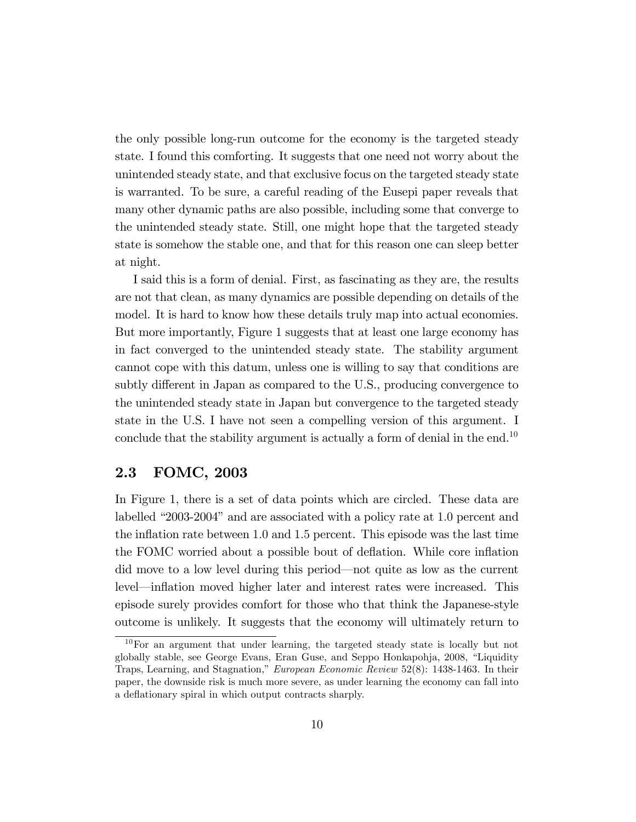the only possible long-run outcome for the economy is the targeted steady state. I found this comforting. It suggests that one need not worry about the unintended steady state, and that exclusive focus on the targeted steady state is warranted. To be sure, a careful reading of the Eusepi paper reveals that many other dynamic paths are also possible, including some that converge to the unintended steady state. Still, one might hope that the targeted steady state is somehow the stable one, and that for this reason one can sleep better at night.

I said this is a form of denial. First, as fascinating as they are, the results are not that clean, as many dynamics are possible depending on details of the model. It is hard to know how these details truly map into actual economies. But more importantly, Figure 1 suggests that at least one large economy has in fact converged to the unintended steady state. The stability argument cannot cope with this datum, unless one is willing to say that conditions are subtly different in Japan as compared to the U.S., producing convergence to the unintended steady state in Japan but convergence to the targeted steady state in the U.S. I have not seen a compelling version of this argument. I conclude that the stability argument is actually a form of denial in the end.<sup>10</sup>

#### 2.3 FOMC, 2003

In Figure 1, there is a set of data points which are circled. These data are labelled "2003-2004" and are associated with a policy rate at 1.0 percent and the inflation rate between 1.0 and 1.5 percent. This episode was the last time the FOMC worried about a possible bout of deflation. While core inflation did move to a low level during this period—not quite as low as the current level—inflation moved higher later and interest rates were increased. This episode surely provides comfort for those who that think the Japanese-style outcome is unlikely. It suggests that the economy will ultimately return to

<sup>10</sup>For an argument that under learning, the targeted steady state is locally but not globally stable, see George Evans, Eran Guse, and Seppo Honkapohja, 2008, "Liquidity Traps, Learning, and Stagnation," European Economic Review 52(8): 1438-1463. In their paper, the downside risk is much more severe, as under learning the economy can fall into a deflationary spiral in which output contracts sharply.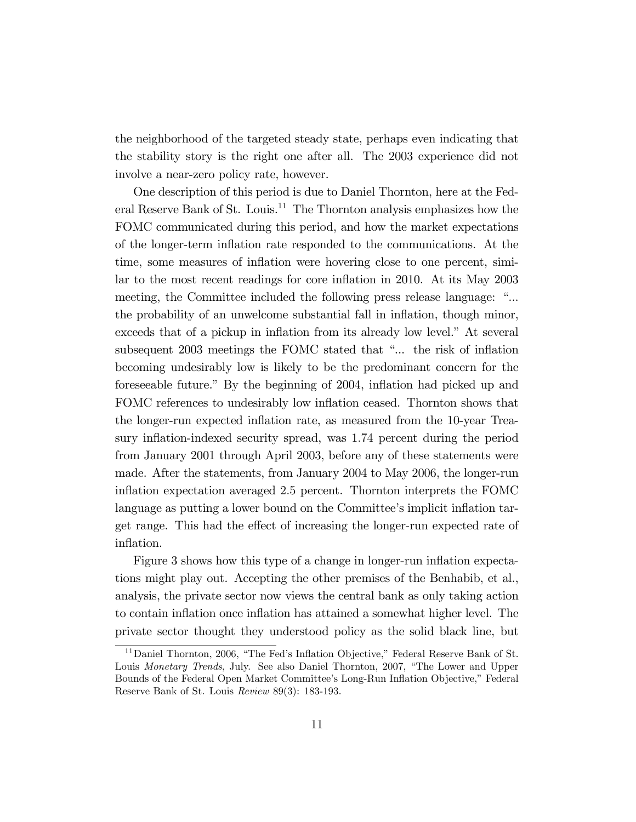the neighborhood of the targeted steady state, perhaps even indicating that the stability story is the right one after all. The 2003 experience did not involve a near-zero policy rate, however.

One description of this period is due to Daniel Thornton, here at the Federal Reserve Bank of St. Louis.<sup>11</sup> The Thornton analysis emphasizes how the FOMC communicated during this period, and how the market expectations of the longer-term ináation rate responded to the communications. At the time, some measures of inflation were hovering close to one percent, similar to the most recent readings for core inflation in 2010. At its May 2003 meeting, the Committee included the following press release language: "... the probability of an unwelcome substantial fall in inflation, though minor, exceeds that of a pickup in inflation from its already low level." At several subsequent 2003 meetings the FOMC stated that "... the risk of inflation becoming undesirably low is likely to be the predominant concern for the foreseeable future." By the beginning of 2004, inflation had picked up and FOMC references to undesirably low inflation ceased. Thornton shows that the longer-run expected ináation rate, as measured from the 10-year Treasury inflation-indexed security spread, was 1.74 percent during the period from January 2001 through April 2003, before any of these statements were made. After the statements, from January 2004 to May 2006, the longer-run inflation expectation averaged 2.5 percent. Thornton interprets the FOMC language as putting a lower bound on the Committee's implicit inflation target range. This had the effect of increasing the longer-run expected rate of inflation.

Figure 3 shows how this type of a change in longer-run inflation expectations might play out. Accepting the other premises of the Benhabib, et al., analysis, the private sector now views the central bank as only taking action to contain inflation once inflation has attained a somewhat higher level. The private sector thought they understood policy as the solid black line, but

 $11$ Daniel Thornton, 2006, "The Fed's Inflation Objective," Federal Reserve Bank of St. Louis Monetary Trends, July. See also Daniel Thornton, 2007, "The Lower and Upper Bounds of the Federal Open Market Committee's Long-Run Inflation Objective," Federal Reserve Bank of St. Louis Review 89(3): 183-193.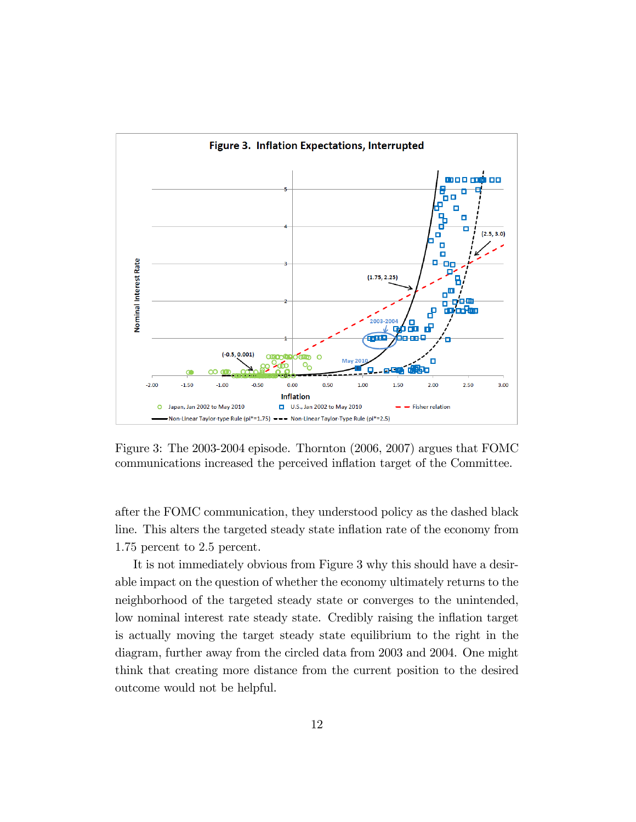

Figure 3: The 2003-2004 episode. Thornton (2006, 2007) argues that FOMC communications increased the perceived ináation target of the Committee.

after the FOMC communication, they understood policy as the dashed black line. This alters the targeted steady state inflation rate of the economy from 1:75 percent to 2:5 percent.

It is not immediately obvious from Figure 3 why this should have a desirable impact on the question of whether the economy ultimately returns to the neighborhood of the targeted steady state or converges to the unintended, low nominal interest rate steady state. Credibly raising the inflation target is actually moving the target steady state equilibrium to the right in the diagram, further away from the circled data from 2003 and 2004. One might think that creating more distance from the current position to the desired outcome would not be helpful.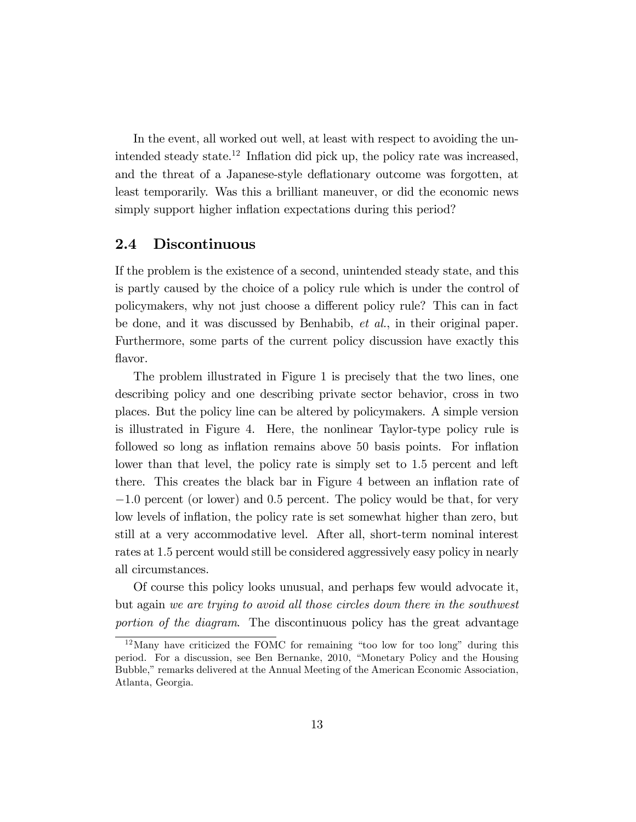In the event, all worked out well, at least with respect to avoiding the unintended steady state.<sup>12</sup> Inflation did pick up, the policy rate was increased, and the threat of a Japanese-style deflationary outcome was forgotten, at least temporarily. Was this a brilliant maneuver, or did the economic news simply support higher inflation expectations during this period?

#### 2.4 Discontinuous

If the problem is the existence of a second, unintended steady state, and this is partly caused by the choice of a policy rule which is under the control of policymakers, why not just choose a different policy rule? This can in fact be done, and it was discussed by Benhabib, et al., in their original paper. Furthermore, some parts of the current policy discussion have exactly this flavor.

The problem illustrated in Figure 1 is precisely that the two lines, one describing policy and one describing private sector behavior, cross in two places. But the policy line can be altered by policymakers. A simple version is illustrated in Figure 4. Here, the nonlinear Taylor-type policy rule is followed so long as inflation remains above 50 basis points. For inflation lower than that level, the policy rate is simply set to 1.5 percent and left there. This creates the black bar in Figure 4 between an inflation rate of  $-1.0$  percent (or lower) and 0.5 percent. The policy would be that, for very low levels of inflation, the policy rate is set somewhat higher than zero, but still at a very accommodative level. After all, short-term nominal interest rates at 1:5 percent would still be considered aggressively easy policy in nearly all circumstances.

Of course this policy looks unusual, and perhaps few would advocate it, but again we are trying to avoid all those circles down there in the southwest portion of the diagram. The discontinuous policy has the great advantage

 $12$ Many have criticized the FOMC for remaining "too low for too long" during this period. For a discussion, see Ben Bernanke, 2010, "Monetary Policy and the Housing Bubble," remarks delivered at the Annual Meeting of the American Economic Association, Atlanta, Georgia.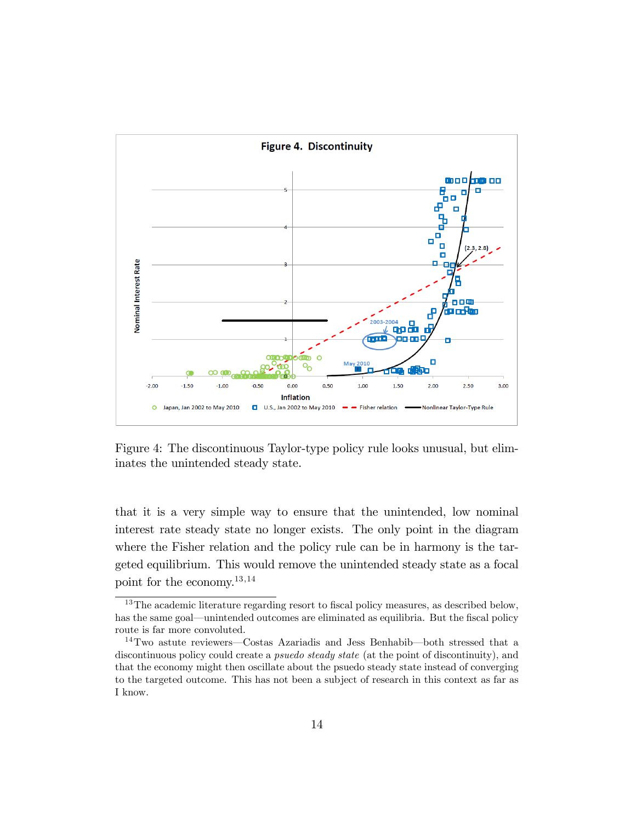

Figure 4: The discontinuous Taylor-type policy rule looks unusual, but eliminates the unintended steady state.

that it is a very simple way to ensure that the unintended, low nominal interest rate steady state no longer exists. The only point in the diagram where the Fisher relation and the policy rule can be in harmony is the targeted equilibrium. This would remove the unintended steady state as a focal point for the economy.<sup>13</sup>;<sup>14</sup>

 $13$ The academic literature regarding resort to fiscal policy measures, as described below, has the same goal—unintended outcomes are eliminated as equilibria. But the fiscal policy route is far more convoluted.

 $14$ Two astute reviewers—Costas Azariadis and Jess Benhabib—both stressed that a discontinuous policy could create a *psuedo steady state* (at the point of discontinuity), and that the economy might then oscillate about the psuedo steady state instead of converging to the targeted outcome. This has not been a subject of research in this context as far as I know.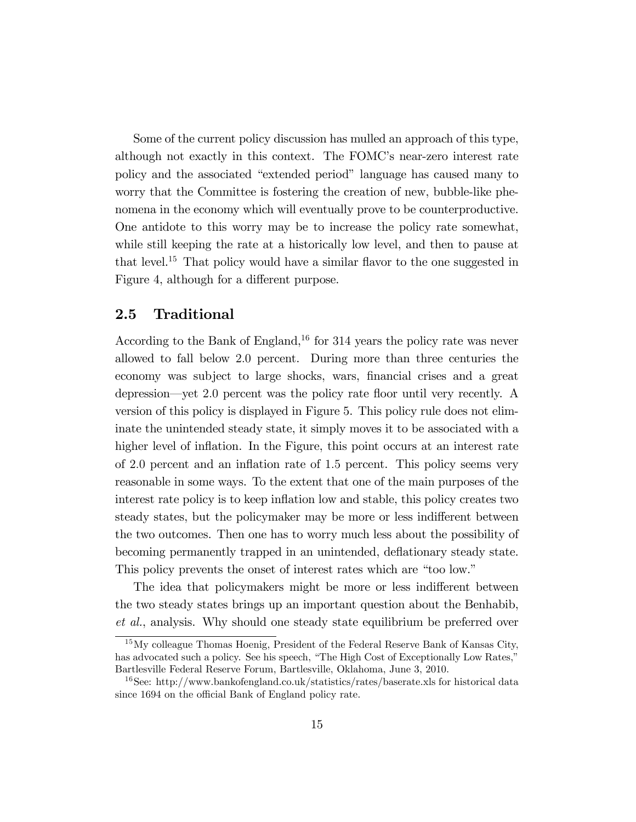Some of the current policy discussion has mulled an approach of this type, although not exactly in this context. The FOMC's near-zero interest rate policy and the associated "extended period" language has caused many to worry that the Committee is fostering the creation of new, bubble-like phenomena in the economy which will eventually prove to be counterproductive. One antidote to this worry may be to increase the policy rate somewhat, while still keeping the rate at a historically low level, and then to pause at that level.<sup>15</sup> That policy would have a similar flavor to the one suggested in Figure 4, although for a different purpose.

#### 2.5 Traditional

According to the Bank of England,<sup>16</sup> for 314 years the policy rate was never allowed to fall below 2:0 percent. During more than three centuries the economy was subject to large shocks, wars, Önancial crises and a great depression—yet 2.0 percent was the policy rate floor until very recently. A version of this policy is displayed in Figure 5. This policy rule does not eliminate the unintended steady state, it simply moves it to be associated with a higher level of inflation. In the Figure, this point occurs at an interest rate of 2:0 percent and an ináation rate of 1:5 percent. This policy seems very reasonable in some ways. To the extent that one of the main purposes of the interest rate policy is to keep ináation low and stable, this policy creates two steady states, but the policymaker may be more or less indifferent between the two outcomes. Then one has to worry much less about the possibility of becoming permanently trapped in an unintended, deflationary steady state. This policy prevents the onset of interest rates which are "too low."

The idea that policymakers might be more or less indifferent between the two steady states brings up an important question about the Benhabib, et al., analysis. Why should one steady state equilibrium be preferred over

<sup>15</sup>My colleague Thomas Hoenig, President of the Federal Reserve Bank of Kansas City, has advocated such a policy. See his speech, "The High Cost of Exceptionally Low Rates," Bartlesville Federal Reserve Forum, Bartlesville, Oklahoma, June 3, 2010.

<sup>&</sup>lt;sup>16</sup>See: http://www.bankofengland.co.uk/statistics/rates/baserate.xls for historical data since 1694 on the official Bank of England policy rate.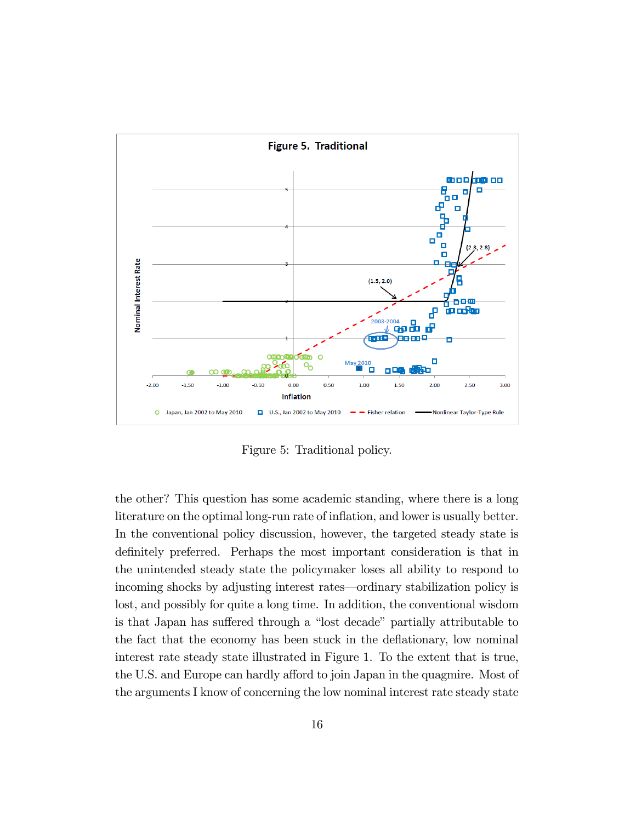

Figure 5: Traditional policy.

the other? This question has some academic standing, where there is a long literature on the optimal long-run rate of inflation, and lower is usually better. In the conventional policy discussion, however, the targeted steady state is definitely preferred. Perhaps the most important consideration is that in the unintended steady state the policymaker loses all ability to respond to incoming shocks by adjusting interest rates—ordinary stabilization policy is lost, and possibly for quite a long time. In addition, the conventional wisdom is that Japan has suffered through a "lost decade" partially attributable to the fact that the economy has been stuck in the deflationary, low nominal interest rate steady state illustrated in Figure 1. To the extent that is true, the U.S. and Europe can hardly afford to join Japan in the quagmire. Most of the arguments I know of concerning the low nominal interest rate steady state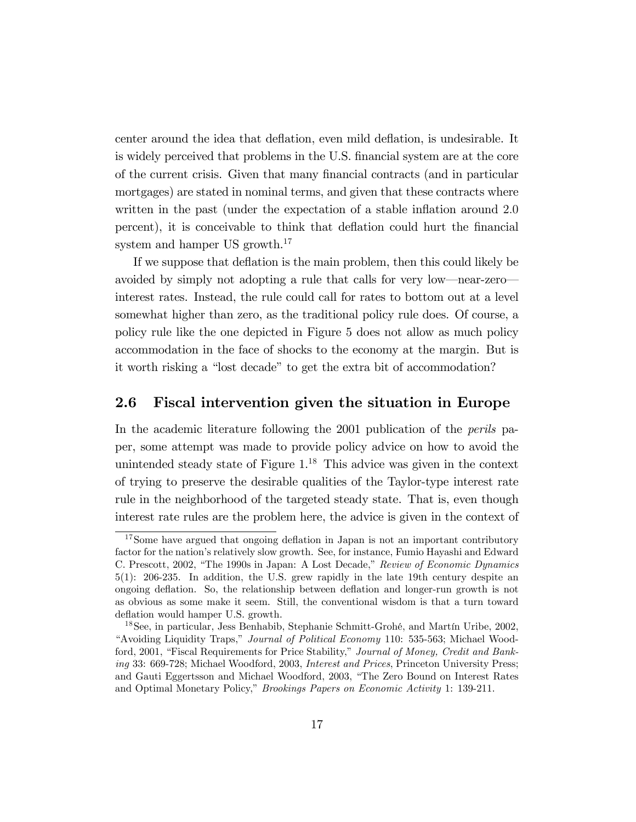center around the idea that deflation, even mild deflation, is undesirable. It is widely perceived that problems in the U.S. Önancial system are at the core of the current crisis. Given that many Önancial contracts (and in particular mortgages) are stated in nominal terms, and given that these contracts where written in the past (under the expectation of a stable inflation around  $2.0$ ) percent), it is conceivable to think that deflation could hurt the financial system and hamper US growth.<sup>17</sup>

If we suppose that deflation is the main problem, then this could likely be avoided by simply not adopting a rule that calls for very low—near-zero interest rates. Instead, the rule could call for rates to bottom out at a level somewhat higher than zero, as the traditional policy rule does. Of course, a policy rule like the one depicted in Figure 5 does not allow as much policy accommodation in the face of shocks to the economy at the margin. But is it worth risking a "lost decade" to get the extra bit of accommodation?

#### 2.6 Fiscal intervention given the situation in Europe

In the academic literature following the 2001 publication of the *perils* paper, some attempt was made to provide policy advice on how to avoid the unintended steady state of Figure  $1^{18}$ . This advice was given in the context of trying to preserve the desirable qualities of the Taylor-type interest rate rule in the neighborhood of the targeted steady state. That is, even though interest rate rules are the problem here, the advice is given in the context of

 $17$ Some have argued that ongoing deflation in Japan is not an important contributory factor for the nation's relatively slow growth. See, for instance, Fumio Hayashi and Edward C. Prescott, 2002, "The 1990s in Japan: A Lost Decade," Review of Economic Dynamics 5(1): 206-235. In addition, the U.S. grew rapidly in the late 19th century despite an ongoing deáation. So, the relationship between deáation and longer-run growth is not as obvious as some make it seem. Still, the conventional wisdom is that a turn toward deflation would hamper U.S. growth.

 $18$ See, in particular, Jess Benhabib, Stephanie Schmitt-Grohé, and Martín Uribe, 2002, "Avoiding Liquidity Traps," Journal of Political Economy 110: 535-563; Michael Woodford, 2001, "Fiscal Requirements for Price Stability," Journal of Money, Credit and Banking 33: 669-728; Michael Woodford, 2003, Interest and Prices, Princeton University Press; and Gauti Eggertsson and Michael Woodford, 2003, "The Zero Bound on Interest Rates and Optimal Monetary Policy," Brookings Papers on Economic Activity 1: 139-211.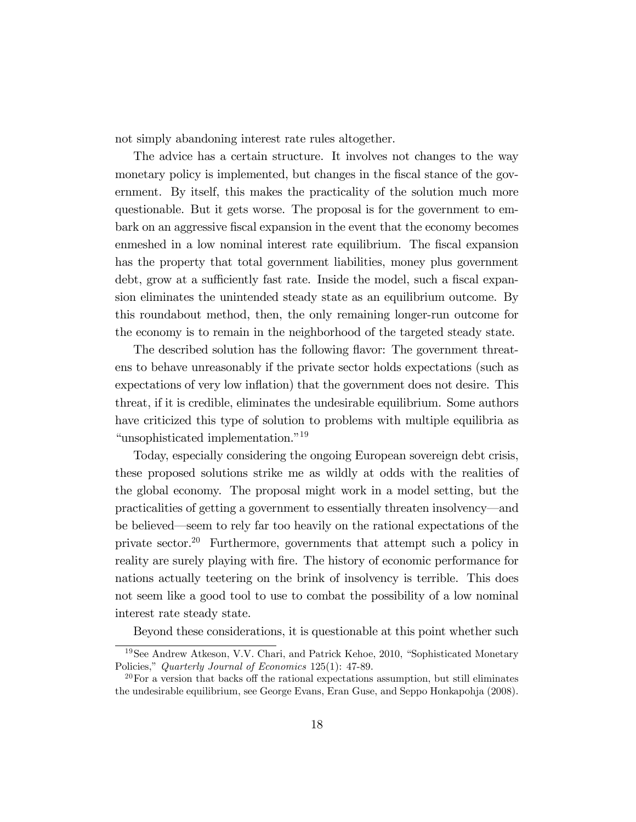not simply abandoning interest rate rules altogether.

The advice has a certain structure. It involves not changes to the way monetary policy is implemented, but changes in the fiscal stance of the government. By itself, this makes the practicality of the solution much more questionable. But it gets worse. The proposal is for the government to embark on an aggressive fiscal expansion in the event that the economy becomes enmeshed in a low nominal interest rate equilibrium. The fiscal expansion has the property that total government liabilities, money plus government debt, grow at a sufficiently fast rate. Inside the model, such a fiscal expansion eliminates the unintended steady state as an equilibrium outcome. By this roundabout method, then, the only remaining longer-run outcome for the economy is to remain in the neighborhood of the targeted steady state.

The described solution has the following flavor: The government threatens to behave unreasonably if the private sector holds expectations (such as expectations of very low inflation) that the government does not desire. This threat, if it is credible, eliminates the undesirable equilibrium. Some authors have criticized this type of solution to problems with multiple equilibria as "unsophisticated implementation."<sup>19</sup>

Today, especially considering the ongoing European sovereign debt crisis, these proposed solutions strike me as wildly at odds with the realities of the global economy. The proposal might work in a model setting, but the practicalities of getting a government to essentially threaten insolvency—and be believed—seem to rely far too heavily on the rational expectations of the private sector.<sup>20</sup> Furthermore, governments that attempt such a policy in reality are surely playing with fire. The history of economic performance for nations actually teetering on the brink of insolvency is terrible. This does not seem like a good tool to use to combat the possibility of a low nominal interest rate steady state.

Beyond these considerations, it is questionable at this point whether such

 $19$ See Andrew Atkeson, V.V. Chari, and Patrick Kehoe, 2010, "Sophisticated Monetary Policies," Quarterly Journal of Economics 125(1): 47-89.

 $20$  For a version that backs off the rational expectations assumption, but still eliminates the undesirable equilibrium, see George Evans, Eran Guse, and Seppo Honkapohja (2008).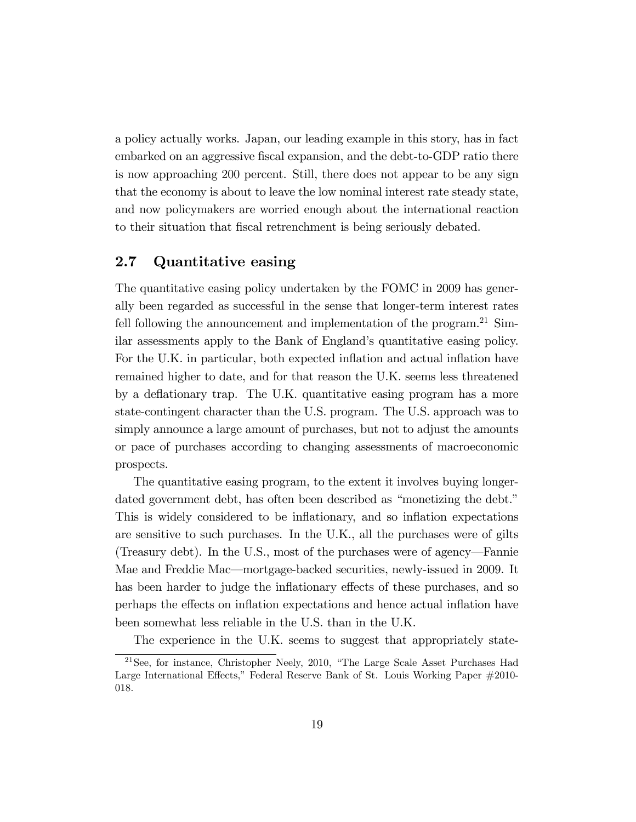a policy actually works. Japan, our leading example in this story, has in fact embarked on an aggressive fiscal expansion, and the debt-to-GDP ratio there is now approaching 200 percent. Still, there does not appear to be any sign that the economy is about to leave the low nominal interest rate steady state, and now policymakers are worried enough about the international reaction to their situation that Öscal retrenchment is being seriously debated.

#### 2.7 Quantitative easing

The quantitative easing policy undertaken by the FOMC in 2009 has generally been regarded as successful in the sense that longer-term interest rates fell following the announcement and implementation of the program.<sup>21</sup> Similar assessments apply to the Bank of England's quantitative easing policy. For the U.K. in particular, both expected inflation and actual inflation have remained higher to date, and for that reason the U.K. seems less threatened by a deflationary trap. The U.K. quantitative easing program has a more state-contingent character than the U.S. program. The U.S. approach was to simply announce a large amount of purchases, but not to adjust the amounts or pace of purchases according to changing assessments of macroeconomic prospects.

The quantitative easing program, to the extent it involves buying longerdated government debt, has often been described as "monetizing the debt." This is widely considered to be inflationary, and so inflation expectations are sensitive to such purchases. In the U.K., all the purchases were of gilts (Treasury debt). In the U.S., most of the purchases were of agency—Fannie Mae and Freddie Mac—mortgage-backed securities, newly-issued in 2009. It has been harder to judge the inflationary effects of these purchases, and so perhaps the effects on inflation expectations and hence actual inflation have been somewhat less reliable in the U.S. than in the U.K.

The experience in the U.K. seems to suggest that appropriately state-

 $21$ See, for instance, Christopher Neely, 2010, "The Large Scale Asset Purchases Had Large International Effects," Federal Reserve Bank of St. Louis Working Paper #2010-018.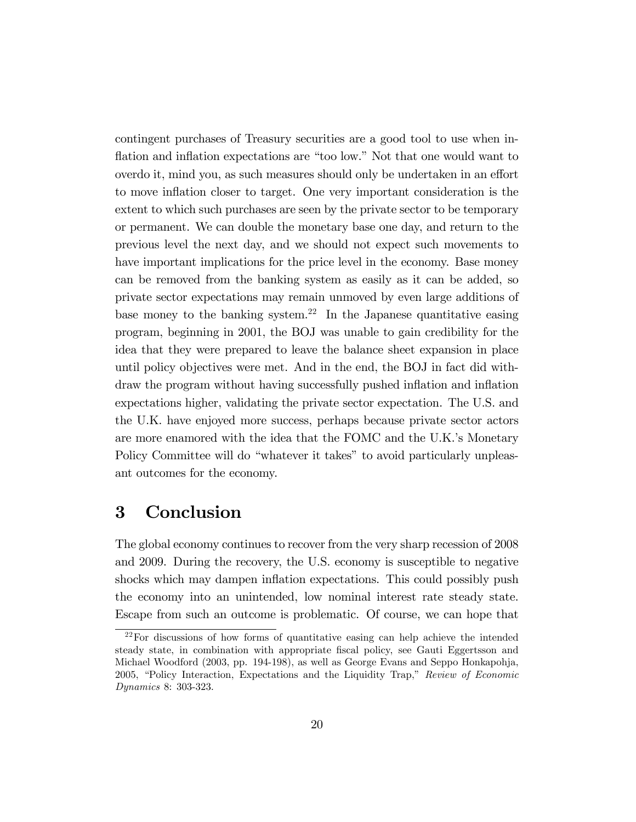contingent purchases of Treasury securities are a good tool to use when inflation and inflation expectations are "too low." Not that one would want to overdo it, mind you, as such measures should only be undertaken in an effort to move inflation closer to target. One very important consideration is the extent to which such purchases are seen by the private sector to be temporary or permanent. We can double the monetary base one day, and return to the previous level the next day, and we should not expect such movements to have important implications for the price level in the economy. Base money can be removed from the banking system as easily as it can be added, so private sector expectations may remain unmoved by even large additions of base money to the banking system.<sup>22</sup> In the Japanese quantitative easing program, beginning in 2001, the BOJ was unable to gain credibility for the idea that they were prepared to leave the balance sheet expansion in place until policy objectives were met. And in the end, the BOJ in fact did withdraw the program without having successfully pushed inflation and inflation expectations higher, validating the private sector expectation. The U.S. and the U.K. have enjoyed more success, perhaps because private sector actors are more enamored with the idea that the FOMC and the U.K.'s Monetary Policy Committee will do "whatever it takes" to avoid particularly unpleasant outcomes for the economy.

## 3 Conclusion

The global economy continues to recover from the very sharp recession of 2008 and 2009. During the recovery, the U.S. economy is susceptible to negative shocks which may dampen inflation expectations. This could possibly push the economy into an unintended, low nominal interest rate steady state. Escape from such an outcome is problematic. Of course, we can hope that

<sup>22</sup>For discussions of how forms of quantitative easing can help achieve the intended steady state, in combination with appropriate fiscal policy, see Gauti Eggertsson and Michael Woodford (2003, pp. 194-198), as well as George Evans and Seppo Honkapohja, 2005, "Policy Interaction, Expectations and the Liquidity Trap," Review of Economic Dynamics 8: 303-323.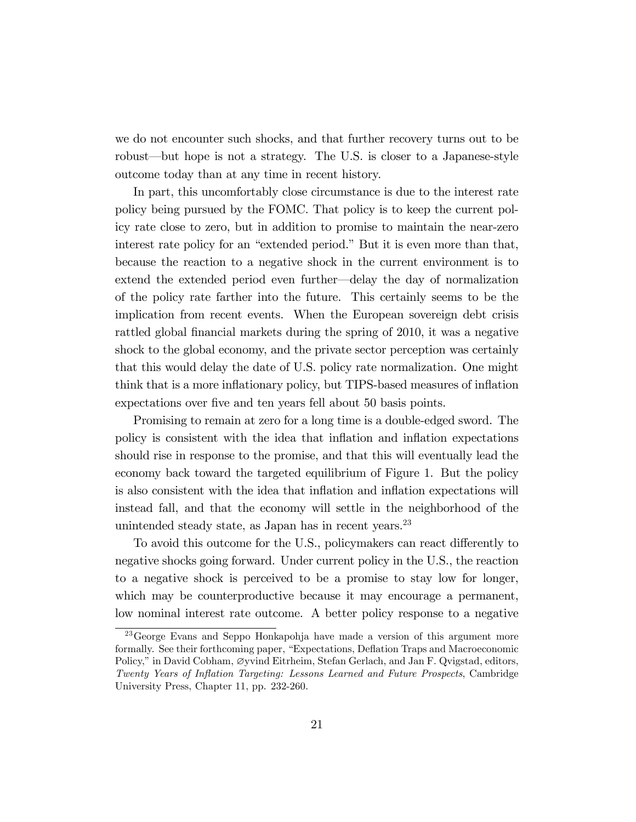we do not encounter such shocks, and that further recovery turns out to be robust—but hope is not a strategy. The U.S. is closer to a Japanese-style outcome today than at any time in recent history.

In part, this uncomfortably close circumstance is due to the interest rate policy being pursued by the FOMC. That policy is to keep the current policy rate close to zero, but in addition to promise to maintain the near-zero interest rate policy for an "extended period." But it is even more than that, because the reaction to a negative shock in the current environment is to extend the extended period even further—delay the day of normalization of the policy rate farther into the future. This certainly seems to be the implication from recent events. When the European sovereign debt crisis rattled global financial markets during the spring of 2010, it was a negative shock to the global economy, and the private sector perception was certainly that this would delay the date of U.S. policy rate normalization. One might think that is a more inflationary policy, but TIPS-based measures of inflation expectations over five and ten years fell about 50 basis points.

Promising to remain at zero for a long time is a double-edged sword. The policy is consistent with the idea that inflation and inflation expectations should rise in response to the promise, and that this will eventually lead the economy back toward the targeted equilibrium of Figure 1. But the policy is also consistent with the idea that inflation and inflation expectations will instead fall, and that the economy will settle in the neighborhood of the unintended steady state, as Japan has in recent years.<sup>23</sup>

To avoid this outcome for the U.S., policymakers can react differently to negative shocks going forward. Under current policy in the U.S., the reaction to a negative shock is perceived to be a promise to stay low for longer, which may be counterproductive because it may encourage a permanent, low nominal interest rate outcome. A better policy response to a negative

<sup>&</sup>lt;sup>23</sup>George Evans and Seppo Honkapohja have made a version of this argument more formally. See their forthcoming paper, "Expectations, Deflation Traps and Macroeconomic Policy," in David Cobham, Øyvind Eitrheim, Stefan Gerlach, and Jan F. Qvigstad, editors, Twenty Years of Inflation Targeting: Lessons Learned and Future Prospects, Cambridge University Press, Chapter 11, pp. 232-260.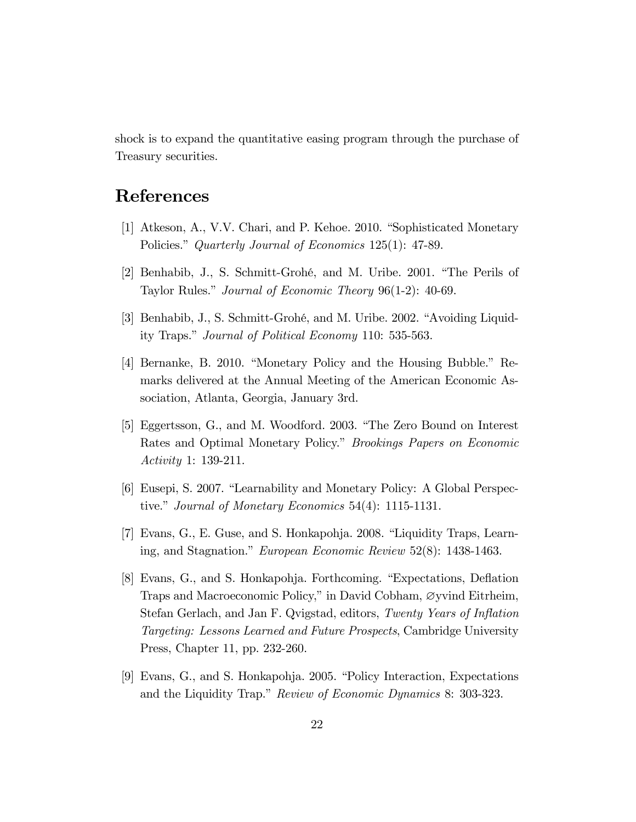shock is to expand the quantitative easing program through the purchase of Treasury securities.

## References

- [1] Atkeson, A., V.V. Chari, and P. Kehoe. 2010. "Sophisticated Monetary Policies." Quarterly Journal of Economics 125(1): 47-89.
- [2] Benhabib, J., S. Schmitt-Grohé, and M. Uribe. 2001. "The Perils of Taylor Rules." Journal of Economic Theory  $96(1-2)$ : 40-69.
- [3] Benhabib, J., S. Schmitt-Grohé, and M. Uribe.  $2002$ . "Avoiding Liquidity Traps." Journal of Political Economy 110: 535-563.
- [4] Bernanke, B. 2010. "Monetary Policy and the Housing Bubble." Remarks delivered at the Annual Meeting of the American Economic Association, Atlanta, Georgia, January 3rd.
- [5] Eggertsson, G., and M. Woodford. 2003. "The Zero Bound on Interest Rates and Optimal Monetary Policy." *Brookings Papers on Economic* Activity 1: 139-211.
- [6] Eusepi, S. 2007. "Learnability and Monetary Policy: A Global Perspective." Journal of Monetary Economics  $54(4)$ : 1115-1131.
- $[7]$  Evans, G., E. Guse, and S. Honkapohja. 2008. "Liquidity Traps, Learning, and Stagnation." European Economic Review  $52(8)$ : 1438-1463.
- [8] Evans, G., and S. Honkapohja. Forthcoming. "Expectations, Deflation Traps and Macroeconomic Policy," in David Cobham,  $\varnothing$ yvind Eitrheim, Stefan Gerlach, and Jan F. Qvigstad, editors, Twenty Years of Inflation Targeting: Lessons Learned and Future Prospects, Cambridge University Press, Chapter 11, pp. 232-260.
- [9] Evans, G., and S. Honkapohja. 2005. "Policy Interaction, Expectations and the Liquidity Trap." Review of Economic Dynamics 8: 303-323.